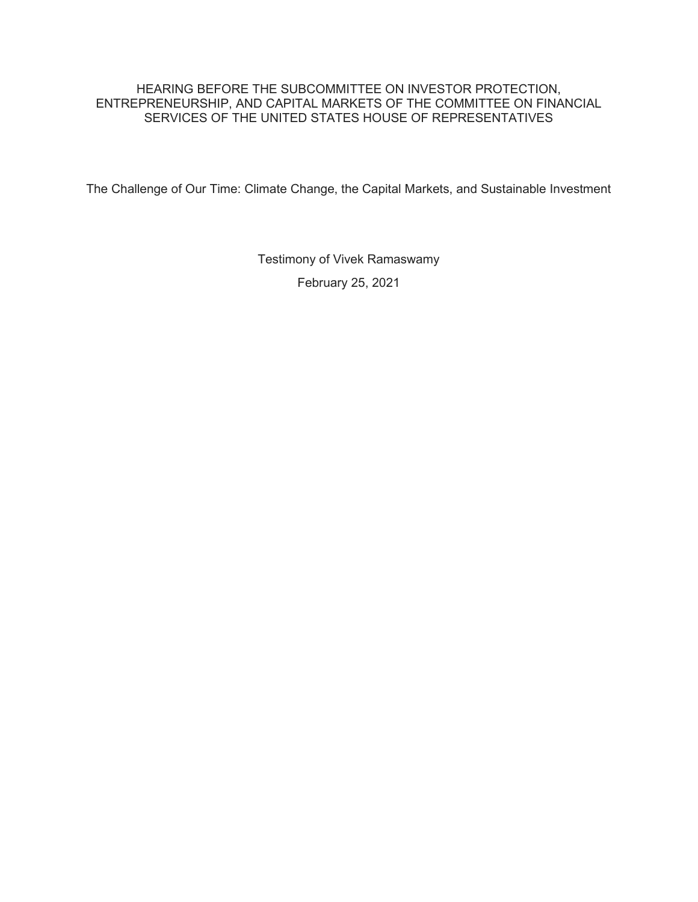## HEARING BEFORE THE SUBCOMMITTEE ON INVESTOR PROTECTION, ENTREPRENEURSHIP, AND CAPITAL MARKETS OF THE COMMITTEE ON FINANCIAL SERVICES OF THE UNITED STATES HOUSE OF REPRESENTATIVES

The Challenge of Our Time: Climate Change, the Capital Markets, and Sustainable Investment

Testimony of Vivek Ramaswamy February 25, 2021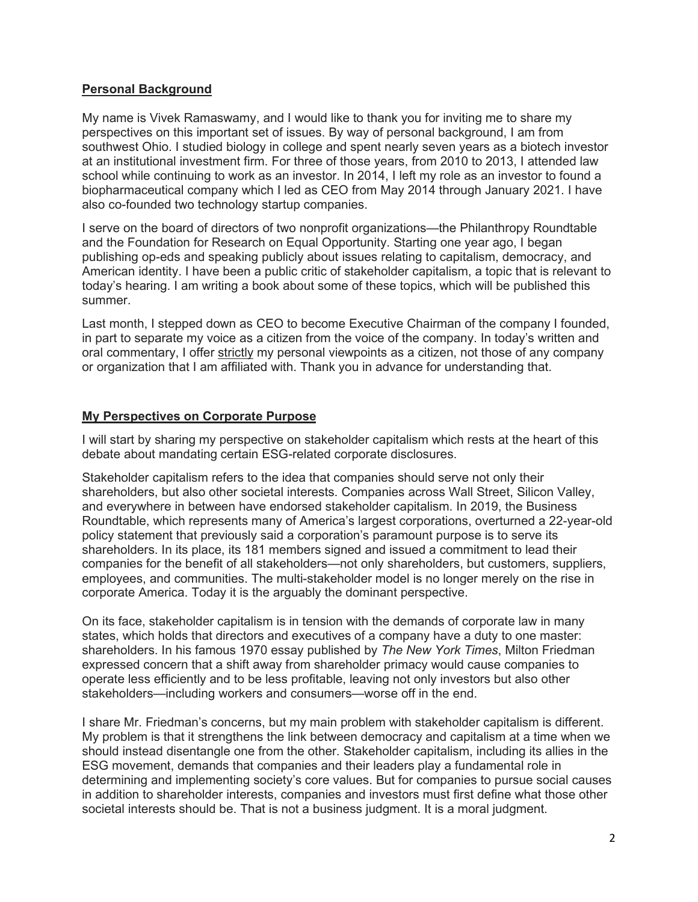## **Personal Background**

My name is Vivek Ramaswamy, and I would like to thank you for inviting me to share my perspectives on this important set of issues. By way of personal background, I am from southwest Ohio. I studied biology in college and spent nearly seven years as a biotech investor at an institutional investment firm. For three of those years, from 2010 to 2013, I attended law school while continuing to work as an investor. In 2014, I left my role as an investor to found a biopharmaceutical company which I led as CEO from May 2014 through January 2021. I have also co-founded two technology startup companies.

I serve on the board of directors of two nonprofit organizations—the Philanthropy Roundtable and the Foundation for Research on Equal Opportunity. Starting one year ago, I began publishing op-eds and speaking publicly about issues relating to capitalism, democracy, and American identity. I have been a public critic of stakeholder capitalism, a topic that is relevant to today's hearing. I am writing a book about some of these topics, which will be published this summer.

Last month, I stepped down as CEO to become Executive Chairman of the company I founded, in part to separate my voice as a citizen from the voice of the company. In today's written and oral commentary, I offer strictly my personal viewpoints as a citizen, not those of any company or organization that I am affiliated with. Thank you in advance for understanding that.

# **My Perspectives on Corporate Purpose**

I will start by sharing my perspective on stakeholder capitalism which rests at the heart of this debate about mandating certain ESG-related corporate disclosures.

Stakeholder capitalism refers to the idea that companies should serve not only their shareholders, but also other societal interests. Companies across Wall Street, Silicon Valley, and everywhere in between have endorsed stakeholder capitalism. In 2019, the Business Roundtable, which represents many of America's largest corporations, overturned a 22-year-old policy statement that previously said a corporation's paramount purpose is to serve its shareholders. In its place, its 181 members signed and issued a commitment to lead their companies for the benefit of all stakeholders—not only shareholders, but customers, suppliers, employees, and communities. The multi-stakeholder model is no longer merely on the rise in corporate America. Today it is the arguably the dominant perspective.

On its face, stakeholder capitalism is in tension with the demands of corporate law in many states, which holds that directors and executives of a company have a duty to one master: shareholders. In his famous 1970 essay published by *The New York Times*, Milton Friedman expressed concern that a shift away from shareholder primacy would cause companies to operate less efficiently and to be less profitable, leaving not only investors but also other stakeholders—including workers and consumers—worse off in the end.

I share Mr. Friedman's concerns, but my main problem with stakeholder capitalism is different. My problem is that it strengthens the link between democracy and capitalism at a time when we should instead disentangle one from the other. Stakeholder capitalism, including its allies in the ESG movement, demands that companies and their leaders play a fundamental role in determining and implementing society's core values. But for companies to pursue social causes in addition to shareholder interests, companies and investors must first define what those other societal interests should be. That is not a business judgment. It is a moral judgment.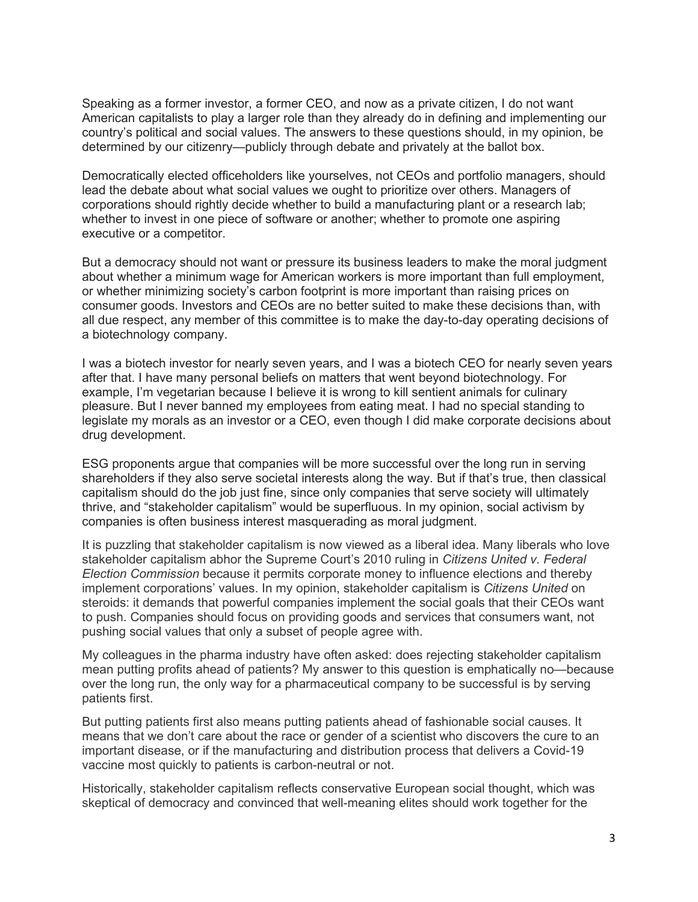Speaking as a former investor, a former CEO, and now as a private citizen, I do not want American capitalists to play a larger role than they already do in defining and implementing our country's political and social values. The answers to these questions should, in my opinion, be determined by our citizenry—publicly through debate and privately at the ballot box.

Democratically elected officeholders like yourselves, not CEOs and portfolio managers, should lead the debate about what social values we ought to prioritize over others. Managers of corporations should rightly decide whether to build a manufacturing plant or a research lab; whether to invest in one piece of software or another; whether to promote one aspiring executive or a competitor.

But a democracy should not want or pressure its business leaders to make the moral judgment about whether a minimum wage for American workers is more important than full employment, or whether minimizing society's carbon footprint is more important than raising prices on consumer goods. Investors and CEOs are no better suited to make these decisions than, with all due respect, any member of this committee is to make the day-to-day operating decisions of a biotechnology company.

I was a biotech investor for nearly seven years, and I was a biotech CEO for nearly seven years after that. I have many personal beliefs on matters that went beyond biotechnology. For example, I'm vegetarian because I believe it is wrong to kill sentient animals for culinary pleasure. But I never banned my employees from eating meat. I had no special standing to legislate my morals as an investor or a CEO, even though I did make corporate decisions about drug development.

ESG proponents argue that companies will be more successful over the long run in serving shareholders if they also serve societal interests along the way. But if that's true, then classical capitalism should do the job just fine, since only companies that serve society will ultimately thrive, and "stakeholder capitalism" would be superfluous. In my opinion, social activism by companies is often business interest masquerading as moral judgment.

It is puzzling that stakeholder capitalism is now viewed as a liberal idea. Many liberals who love stakeholder capitalism abhor the Supreme Court's 2010 ruling in *Citizens United v. Federal Election Commission* because it permits corporate money to influence elections and thereby implement corporations' values. In my opinion, stakeholder capitalism is *Citizens United* on steroids: it demands that powerful companies implement the social goals that their CEOs want to push. Companies should focus on providing goods and services that consumers want, not pushing social values that only a subset of people agree with.

My colleagues in the pharma industry have often asked: does rejecting stakeholder capitalism mean putting profits ahead of patients? My answer to this question is emphatically no—because over the long run, the only way for a pharmaceutical company to be successful is by serving patients first.

But putting patients first also means putting patients ahead of fashionable social causes. It means that we don't care about the race or gender of a scientist who discovers the cure to an important disease, or if the manufacturing and distribution process that delivers a Covid-19 vaccine most quickly to patients is carbon-neutral or not.

Historically, stakeholder capitalism reflects conservative European social thought, which was skeptical of democracy and convinced that well-meaning elites should work together for the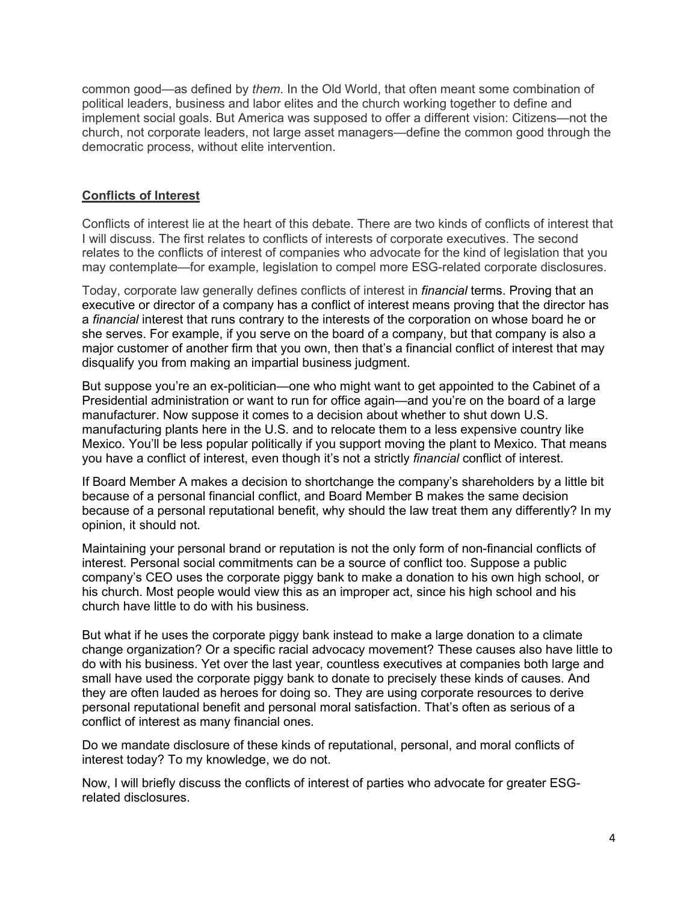common good—as defined by *them*. In the Old World, that often meant some combination of political leaders, business and labor elites and the church working together to define and implement social goals. But America was supposed to offer a different vision: Citizens—not the church, not corporate leaders, not large asset managers—define the common good through the democratic process, without elite intervention.

#### **Conflicts of Interest**

Conflicts of interest lie at the heart of this debate. There are two kinds of conflicts of interest that I will discuss. The first relates to conflicts of interests of corporate executives. The second relates to the conflicts of interest of companies who advocate for the kind of legislation that you may contemplate—for example, legislation to compel more ESG-related corporate disclosures.

Today, corporate law generally defines conflicts of interest in *financial* terms. Proving that an executive or director of a company has a conflict of interest means proving that the director has a *financial* interest that runs contrary to the interests of the corporation on whose board he or she serves. For example, if you serve on the board of a company, but that company is also a major customer of another firm that you own, then that's a financial conflict of interest that may disqualify you from making an impartial business judgment.

But suppose you're an ex-politician—one who might want to get appointed to the Cabinet of a Presidential administration or want to run for office again—and you're on the board of a large manufacturer. Now suppose it comes to a decision about whether to shut down U.S. manufacturing plants here in the U.S. and to relocate them to a less expensive country like Mexico. You'll be less popular politically if you support moving the plant to Mexico. That means you have a conflict of interest, even though it's not a strictly *financial* conflict of interest.

If Board Member A makes a decision to shortchange the company's shareholders by a little bit because of a personal financial conflict, and Board Member B makes the same decision because of a personal reputational benefit, why should the law treat them any differently? In my opinion, it should not.

Maintaining your personal brand or reputation is not the only form of non-financial conflicts of interest. Personal social commitments can be a source of conflict too. Suppose a public company's CEO uses the corporate piggy bank to make a donation to his own high school, or his church. Most people would view this as an improper act, since his high school and his church have little to do with his business.

But what if he uses the corporate piggy bank instead to make a large donation to a climate change organization? Or a specific racial advocacy movement? These causes also have little to do with his business. Yet over the last year, countless executives at companies both large and small have used the corporate piggy bank to donate to precisely these kinds of causes. And they are often lauded as heroes for doing so. They are using corporate resources to derive personal reputational benefit and personal moral satisfaction. That's often as serious of a conflict of interest as many financial ones.

Do we mandate disclosure of these kinds of reputational, personal, and moral conflicts of interest today? To my knowledge, we do not.

Now, I will briefly discuss the conflicts of interest of parties who advocate for greater ESGrelated disclosures.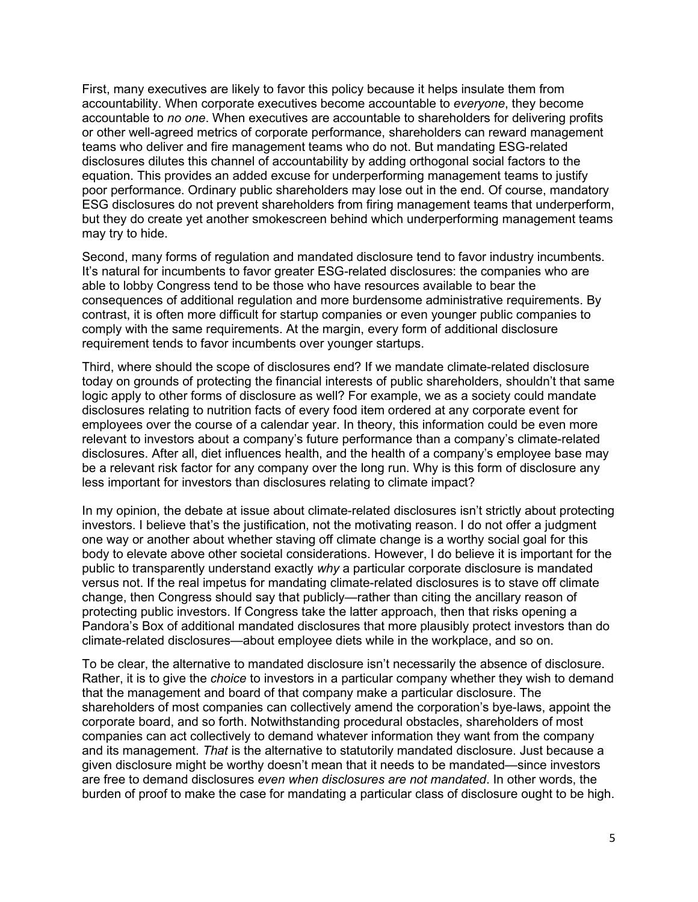First, many executives are likely to favor this policy because it helps insulate them from accountability. When corporate executives become accountable to *everyone*, they become accountable to *no one*. When executives are accountable to shareholders for delivering profits or other well-agreed metrics of corporate performance, shareholders can reward management teams who deliver and fire management teams who do not. But mandating ESG-related disclosures dilutes this channel of accountability by adding orthogonal social factors to the equation. This provides an added excuse for underperforming management teams to justify poor performance. Ordinary public shareholders may lose out in the end. Of course, mandatory ESG disclosures do not prevent shareholders from firing management teams that underperform, but they do create yet another smokescreen behind which underperforming management teams may try to hide.

Second, many forms of regulation and mandated disclosure tend to favor industry incumbents. It's natural for incumbents to favor greater ESG-related disclosures: the companies who are able to lobby Congress tend to be those who have resources available to bear the consequences of additional regulation and more burdensome administrative requirements. By contrast, it is often more difficult for startup companies or even younger public companies to comply with the same requirements. At the margin, every form of additional disclosure requirement tends to favor incumbents over younger startups.

Third, where should the scope of disclosures end? If we mandate climate-related disclosure today on grounds of protecting the financial interests of public shareholders, shouldn't that same logic apply to other forms of disclosure as well? For example, we as a society could mandate disclosures relating to nutrition facts of every food item ordered at any corporate event for employees over the course of a calendar year. In theory, this information could be even more relevant to investors about a company's future performance than a company's climate-related disclosures. After all, diet influences health, and the health of a company's employee base may be a relevant risk factor for any company over the long run. Why is this form of disclosure any less important for investors than disclosures relating to climate impact?

In my opinion, the debate at issue about climate-related disclosures isn't strictly about protecting investors. I believe that's the justification, not the motivating reason. I do not offer a judgment one way or another about whether staving off climate change is a worthy social goal for this body to elevate above other societal considerations. However, I do believe it is important for the public to transparently understand exactly *why* a particular corporate disclosure is mandated versus not. If the real impetus for mandating climate-related disclosures is to stave off climate change, then Congress should say that publicly—rather than citing the ancillary reason of protecting public investors. If Congress take the latter approach, then that risks opening a Pandora's Box of additional mandated disclosures that more plausibly protect investors than do climate-related disclosures—about employee diets while in the workplace, and so on.

To be clear, the alternative to mandated disclosure isn't necessarily the absence of disclosure. Rather, it is to give the *choice* to investors in a particular company whether they wish to demand that the management and board of that company make a particular disclosure. The shareholders of most companies can collectively amend the corporation's bye-laws, appoint the corporate board, and so forth. Notwithstanding procedural obstacles, shareholders of most companies can act collectively to demand whatever information they want from the company and its management. *That* is the alternative to statutorily mandated disclosure. Just because a given disclosure might be worthy doesn't mean that it needs to be mandated—since investors are free to demand disclosures *even when disclosures are not mandated*. In other words, the burden of proof to make the case for mandating a particular class of disclosure ought to be high.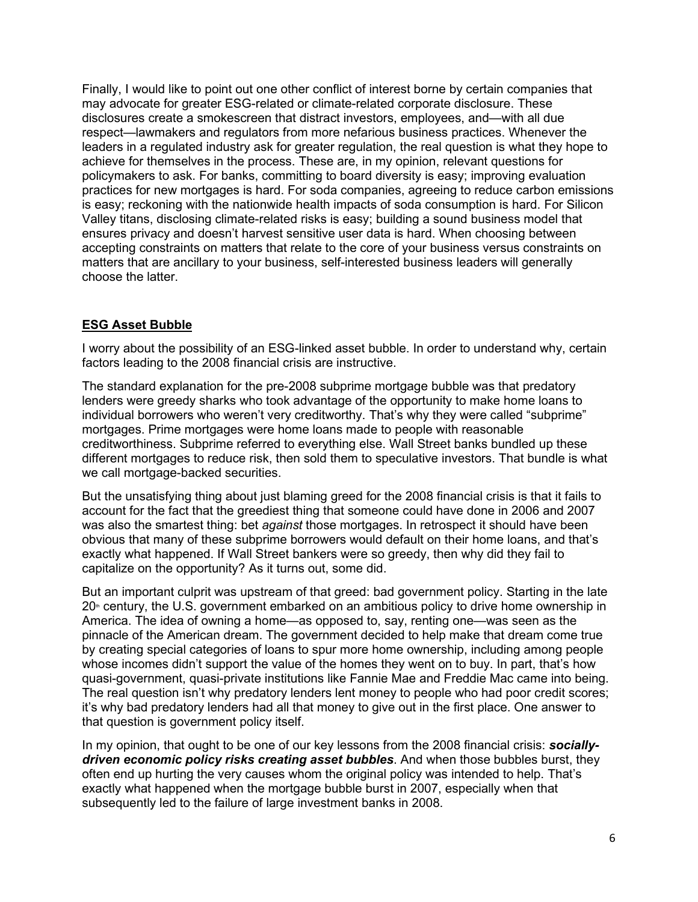Finally, I would like to point out one other conflict of interest borne by certain companies that may advocate for greater ESG-related or climate-related corporate disclosure. These disclosures create a smokescreen that distract investors, employees, and—with all due respect—lawmakers and regulators from more nefarious business practices. Whenever the leaders in a regulated industry ask for greater regulation, the real question is what they hope to achieve for themselves in the process. These are, in my opinion, relevant questions for policymakers to ask. For banks, committing to board diversity is easy; improving evaluation practices for new mortgages is hard. For soda companies, agreeing to reduce carbon emissions is easy; reckoning with the nationwide health impacts of soda consumption is hard. For Silicon Valley titans, disclosing climate-related risks is easy; building a sound business model that ensures privacy and doesn't harvest sensitive user data is hard. When choosing between accepting constraints on matters that relate to the core of your business versus constraints on matters that are ancillary to your business, self-interested business leaders will generally choose the latter.

# **ESG Asset Bubble**

I worry about the possibility of an ESG-linked asset bubble. In order to understand why, certain factors leading to the 2008 financial crisis are instructive.

The standard explanation for the pre-2008 subprime mortgage bubble was that predatory lenders were greedy sharks who took advantage of the opportunity to make home loans to individual borrowers who weren't very creditworthy. That's why they were called "subprime" mortgages. Prime mortgages were home loans made to people with reasonable creditworthiness. Subprime referred to everything else. Wall Street banks bundled up these different mortgages to reduce risk, then sold them to speculative investors. That bundle is what we call mortgage-backed securities.

But the unsatisfying thing about just blaming greed for the 2008 financial crisis is that it fails to account for the fact that the greediest thing that someone could have done in 2006 and 2007 was also the smartest thing: bet *against* those mortgages. In retrospect it should have been obvious that many of these subprime borrowers would default on their home loans, and that's exactly what happened. If Wall Street bankers were so greedy, then why did they fail to capitalize on the opportunity? As it turns out, some did.

But an important culprit was upstream of that greed: bad government policy. Starting in the late  $20<sup>th</sup>$  century, the U.S. government embarked on an ambitious policy to drive home ownership in America. The idea of owning a home—as opposed to, say, renting one—was seen as the pinnacle of the American dream. The government decided to help make that dream come true by creating special categories of loans to spur more home ownership, including among people whose incomes didn't support the value of the homes they went on to buy. In part, that's how quasi-government, quasi-private institutions like Fannie Mae and Freddie Mac came into being. The real question isn't why predatory lenders lent money to people who had poor credit scores; it's why bad predatory lenders had all that money to give out in the first place. One answer to that question is government policy itself.

In my opinion, that ought to be one of our key lessons from the 2008 financial crisis: *sociallydriven economic policy risks creating asset bubbles*. And when those bubbles burst, they often end up hurting the very causes whom the original policy was intended to help. That's exactly what happened when the mortgage bubble burst in 2007, especially when that subsequently led to the failure of large investment banks in 2008.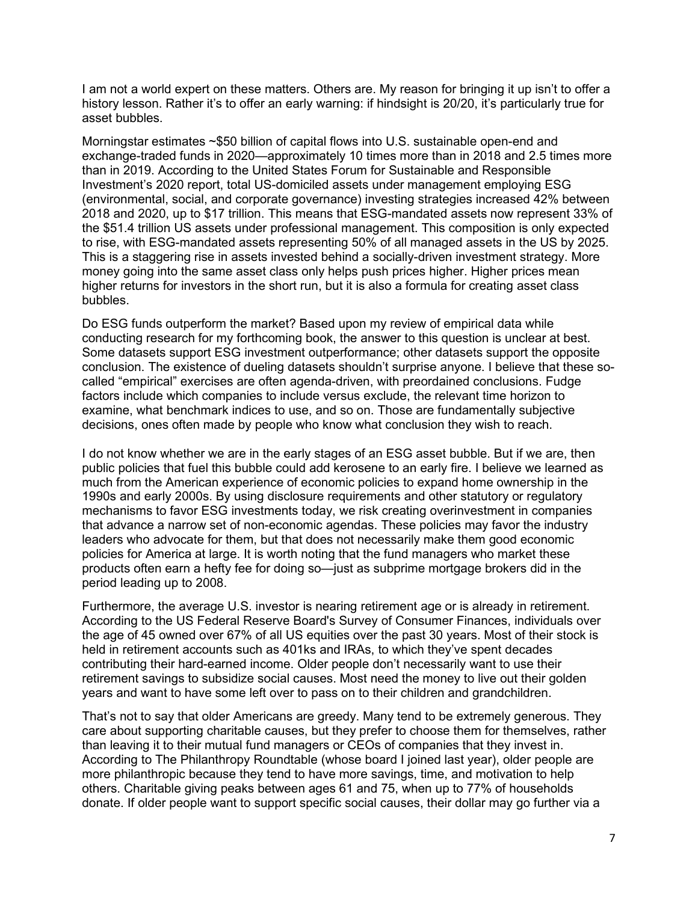I am not a world expert on these matters. Others are. My reason for bringing it up isn't to offer a history lesson. Rather it's to offer an early warning: if hindsight is 20/20, it's particularly true for asset bubbles.

Morningstar estimates ~\$50 billion of capital flows into U.S. sustainable open-end and exchange-traded funds in 2020—approximately 10 times more than in 2018 and 2.5 times more than in 2019. According to the United States Forum for Sustainable and Responsible Investment's 2020 report, total US-domiciled assets under management employing ESG (environmental, social, and corporate governance) investing strategies increased 42% between 2018 and 2020, up to \$17 trillion. This means that ESG-mandated assets now represent 33% of the \$51.4 trillion US assets under professional management. This composition is only expected to rise, with ESG-mandated assets representing 50% of all managed assets in the US by 2025. This is a staggering rise in assets invested behind a socially-driven investment strategy. More money going into the same asset class only helps push prices higher. Higher prices mean higher returns for investors in the short run, but it is also a formula for creating asset class bubbles.

Do ESG funds outperform the market? Based upon my review of empirical data while conducting research for my forthcoming book, the answer to this question is unclear at best. Some datasets support ESG investment outperformance; other datasets support the opposite conclusion. The existence of dueling datasets shouldn't surprise anyone. I believe that these socalled "empirical" exercises are often agenda-driven, with preordained conclusions. Fudge factors include which companies to include versus exclude, the relevant time horizon to examine, what benchmark indices to use, and so on. Those are fundamentally subjective decisions, ones often made by people who know what conclusion they wish to reach.

I do not know whether we are in the early stages of an ESG asset bubble. But if we are, then public policies that fuel this bubble could add kerosene to an early fire. I believe we learned as much from the American experience of economic policies to expand home ownership in the 1990s and early 2000s. By using disclosure requirements and other statutory or regulatory mechanisms to favor ESG investments today, we risk creating overinvestment in companies that advance a narrow set of non-economic agendas. These policies may favor the industry leaders who advocate for them, but that does not necessarily make them good economic policies for America at large. It is worth noting that the fund managers who market these products often earn a hefty fee for doing so—just as subprime mortgage brokers did in the period leading up to 2008.

Furthermore, the average U.S. investor is nearing retirement age or is already in retirement. According to the US Federal Reserve Board's Survey of Consumer Finances, individuals over the age of 45 owned over 67% of all US equities over the past 30 years. Most of their stock is held in retirement accounts such as 401ks and IRAs, to which they've spent decades contributing their hard-earned income. Older people don't necessarily want to use their retirement savings to subsidize social causes. Most need the money to live out their golden years and want to have some left over to pass on to their children and grandchildren.

That's not to say that older Americans are greedy. Many tend to be extremely generous. They care about supporting charitable causes, but they prefer to choose them for themselves, rather than leaving it to their mutual fund managers or CEOs of companies that they invest in. According to The Philanthropy Roundtable (whose board I joined last year), older people are more philanthropic because they tend to have more savings, time, and motivation to help others. Charitable giving peaks between ages 61 and 75, when up to 77% of households donate. If older people want to support specific social causes, their dollar may go further via a